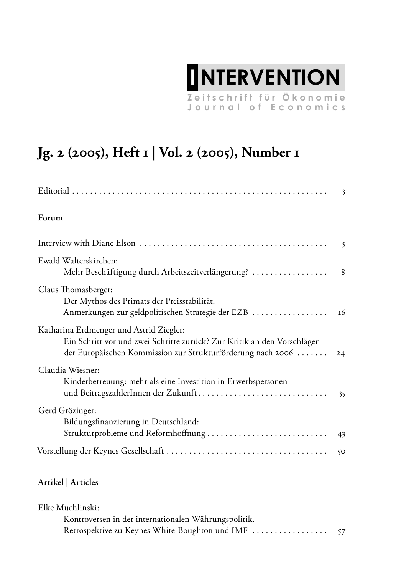

 $\overline{a}$  **Zeitschrift für Ökonomie Journal of Economics** 

# Jg. 2 (2005), Heft I | Vol. 2 (2005), Number I

|                                                                                                                                                                                   | 3  |
|-----------------------------------------------------------------------------------------------------------------------------------------------------------------------------------|----|
| Forum                                                                                                                                                                             |    |
|                                                                                                                                                                                   | 5  |
| Ewald Walterskirchen:                                                                                                                                                             |    |
| Claus Thomasberger:<br>Der Mythos des Primats der Preisstabilität.<br>Anmerkungen zur geldpolitischen Strategie der EZB  16                                                       |    |
| Katharina Erdmenger und Astrid Ziegler:<br>Ein Schritt vor und zwei Schritte zurück? Zur Kritik an den Vorschlägen<br>der Europäischen Kommission zur Strukturförderung nach 2006 | 24 |
| Claudia Wiesner:<br>Kinderbetreuung: mehr als eine Investition in Erwerbspersonen<br>und BeitragszahlerInnen der Zukunft                                                          | 35 |
| Gerd Grözinger:<br>Bildungsfinanzierung in Deutschland:<br>Strukturprobleme und Reformhoffnung                                                                                    | 43 |
|                                                                                                                                                                                   | 50 |

### **Artikel | Articles**

| Elke Muchlinski:                                     |  |
|------------------------------------------------------|--|
| Kontroversen in der internationalen Währungspolitik. |  |
|                                                      |  |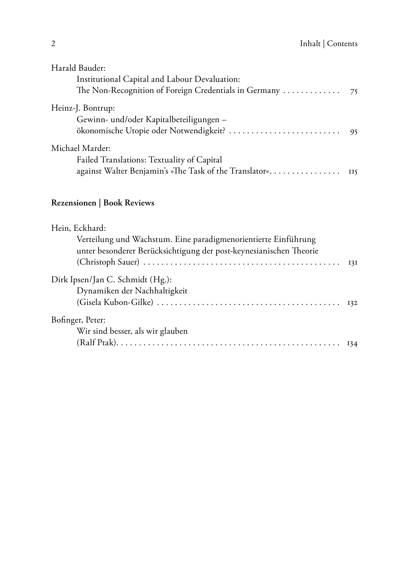| 75                                                     |
|--------------------------------------------------------|
|                                                        |
|                                                        |
| - 95                                                   |
|                                                        |
|                                                        |
| against Walter Benjamin's »The Task of the Translator« |
|                                                        |

#### **Rezensionen | Book Reviews**

| Hein, Eckhard:                                                                                                                       |      |
|--------------------------------------------------------------------------------------------------------------------------------------|------|
| Verteilung und Wachstum. Eine paradigmenorientierte Einführung<br>unter besonderer Berücksichtigung der post-keynesianischen Theorie | 13 I |
| Dirk Ipsen/Jan C. Schmidt (Hg.):<br>Dynamiken der Nachhaltigkeit                                                                     |      |
| Bofinger, Peter:<br>Wir sind besser, als wir glauben                                                                                 |      |
|                                                                                                                                      |      |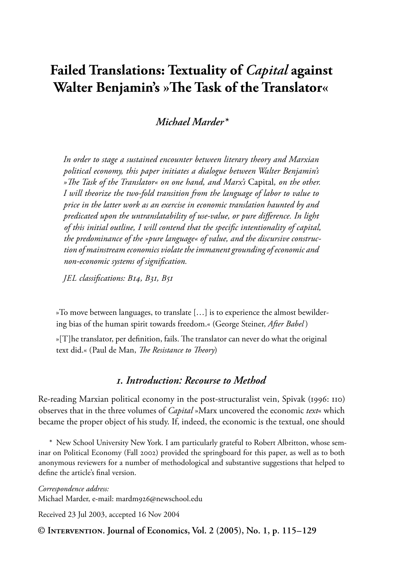## **Failed Translations: Textuality of** *Capital* **against Walter Benjamin's »The Task of the Translator«**

*Michael Marder\**

*In order to stage a sustained encounter between literary theory and Marxian political economy, this paper initiates a dialogue between Walter Benjamin's*  » The Task of the Translator« on one hand, and Marx's Capital, on the other. *I will theorize the two-fold transition from the language of labor to value to price in the latter work as an exercise in economic translation haunted by and*  predicated upon the untranslatability of use-value, or pure difference. In light *of this initial outline, I will contend that the specifi c intentionality of capital, the predominance of the »pure language« of value, and the discursive construction of mainstream economics violate the immanent grounding of economic and non-economic systems of signification.* 

*JEL classifications: B14, B31, B51* 

»To move between languages, to translate […] is to experience the almost bewildering bias of the human spirit towards freedom.« (George Steiner, *After Babel* )

»[T]he translator, per definition, fails. The translator can never do what the original text did.« (Paul de Man, *The Resistance to Theory*)

#### *. Introduction: Recourse to Method*

Re-reading Marxian political economy in the post-structuralist vein, Spivak (1996: 110) observes that in the three volumes of *Capital* »Marx uncovered the economic *text*« which became the proper object of his study. If, indeed, the economic is the textual, one should

 \* New School University New York. I am particularly grateful to Robert Albritton, whose seminar on Political Economy (Fall 2002) provided the springboard for this paper, as well as to both anonymous reviewers for a number of methodological and substantive suggestions that helped to define the article's final version.

*Correspondence address:* Michael Marder, e-mail: mardm926@newschool.edu

Received 23 Jul 2003, accepted 16 Nov 2004

© INTERVENTION. Journal of Economics, Vol. 2 (2005), No. 1, p. 115-129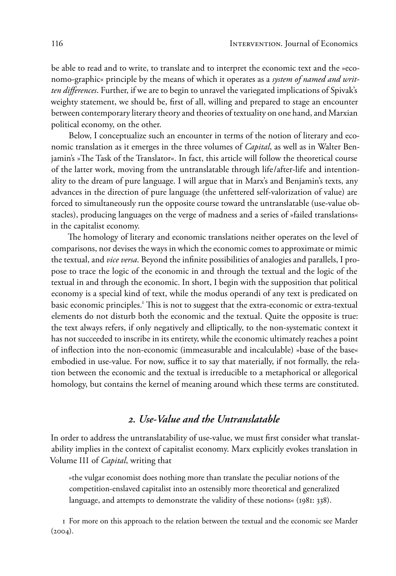be able to read and to write, to translate and to interpret the economic text and the »economo-graphic« principle by the means of which it operates as a *system of named and written diff erences*. Further, if we are to begin to unravel the variegated implications of Spivak's weighty statement, we should be, first of all, willing and prepared to stage an encounter between contemporary literary theory and theories of textuality on one hand, and Marxian political economy, on the other.

Below, I conceptualize such an encounter in terms of the notion of literary and economic translation as it emerges in the three volumes of *Capital*, as well as in Walter Benjamin's »The Task of the Translator«. In fact, this article will follow the theoretical course of the latter work, moving from the untranslatable through life /after-life and intentionality to the dream of pure language. I will argue that in Marx's and Benjamin's texts, any advances in the direction of pure language (the unfettered self-valorization of value) are forced to simultaneously run the opposite course toward the untranslatable (use-value obstacles), producing languages on the verge of madness and a series of »failed translations« in the capitalist economy.

The homology of literary and economic translations neither operates on the level of comparisons, nor devises the ways in which the economic comes to approximate or mimic the textual, and *vice versa*. Beyond the infinite possibilities of analogies and parallels, I pro pose to trace the logic of the economic in and through the textual and the logic of the textual in and through the economic. In short, I begin with the supposition that political economy is a special kind of text, while the modus operandi of any text is predicated on basic economic principles.<sup>1</sup> This is not to suggest that the extra-economic or extra-textual elements do not disturb both the economic and the textual. Quite the opposite is true: the text always refers, if only negatively and elliptically, to the non-systematic context it has not succeeded to inscribe in its entirety, while the economic ultimately reaches a point of infl ection into the non-economic (immeasurable and incalculable) »base of the base« embodied in use-value. For now, suffice it to say that materially, if not formally, the relation between the economic and the textual is irreducible to a metaphorical or allegorical homology, but contains the kernel of meaning around which these terms are constituted.

#### *. Use-Value and the Untranslatable*

In order to address the untranslatability of use-value, we must first consider what translatability implies in the context of capitalist economy. Marx explicitly evokes translation in Volume III of *Capital*, writing that

»the vulgar economist does nothing more than translate the peculiar notions of the competition-enslaved capitalist into an ostensibly more theoretical and generalized language, and attempts to demonstrate the validity of these notions« (1981: 338).

I For more on this approach to the relation between the textual and the economic see Marder  $(2004).$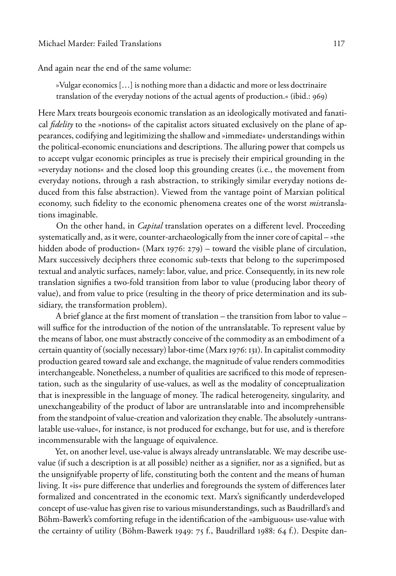And again near the end of the same volume:

»Vulgar economics […] is nothing more than a didactic and more or less doctrinaire translation of the everyday notions of the actual agents of production.« (ibid.: 969)

Here Marx treats bourgeois economic translation as an ideologically motivated and fanatical *fidelity* to the »notions« of the capitalist actors situated exclusively on the plane of appearances, codifying and legitimizing the shallow and »immediate« understandings within the political-economic enunciations and descriptions. The alluring power that compels us to accept vulgar economic principles as true is precisely their empirical grounding in the »everyday notions« and the closed loop this grounding creates (i. e., the movement from everyday notions, through a rash abstraction, to strikingly similar everyday notions deduced from this false abstraction). Viewed from the vantage point of Marxian political economy, such fidelity to the economic phenomena creates one of the worst *mistransla*tions imaginable.

On the other hand, in *Capital* translation operates on a different level. Proceeding systematically and, as it were, counter-archaeologically from the inner core of capital – »the hidden abode of production« (Marx 1976: 279) – toward the visible plane of circulation, Marx successively deciphers three economic sub-texts that belong to the superimposed textual and analytic surfaces, namely: labor, value, and price. Consequently, in its new role translation signifies a two-fold transition from labor to value (producing labor theory of value), and from value to price (resulting in the theory of price determination and its subsidiary, the transformation problem).

A brief glance at the first moment of translation – the transition from labor to value – will suffice for the introduction of the notion of the untranslatable. To represent value by the means of labor, one must abstractly conceive of the commodity as an embodiment of a certain quantity of (socially necessary) labor-time (Marx 1976: 131). In capitalist commodity production geared toward sale and exchange, the magnitude of value renders commodities interchangeable. Nonetheless, a number of qualities are sacrificed to this mode of representation, such as the singularity of use-values, as well as the modality of conceptualization that is inexpressible in the language of money. The radical heterogeneity, singularity, and unexchangeability of the product of labor are untranslatable into and incomprehensible from the standpoint of value-creation and valorization they enable. The absolutely »untranslatable use-value«, for instance, is not produced for exchange, but for use, and is therefore incommensurable with the language of equivalence.

Yet, on another level, use-value is always already untranslatable. We may describe usevalue (if such a description is at all possible) neither as a signifier, nor as a signified, but as the unsignifyable property of life, constituting both the content and the means of human living. It »is« pure difference that underlies and foregrounds the system of differences later formalized and concentrated in the economic text. Marx's significantly underdeveloped concept of use-value has given rise to various misunderstandings, such as Baudrillard's and Böhm-Bawerk's comforting refuge in the identifi cation of the »ambiguous« use-value with the certainty of utility (Böhm-Bawerk 1949: 75 f., Baudrillard 1988: 64 f.). Despite dan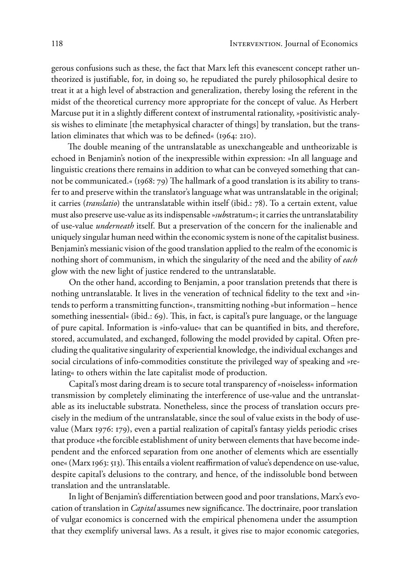gerous confusions such as these, the fact that Marx left this evanescent concept rather untheorized is justifiable, for, in doing so, he repudiated the purely philosophical desire to treat it at a high level of abstraction and generalization, thereby losing the referent in the midst of the theoretical currency more appropriate for the concept of value. As Herbert Marcuse put it in a slightly different context of instrumental rationality, »positivistic analysis wishes to eliminate [the metaphysical character of things] by translation, but the translation eliminates that which was to be defined« (1964: 210).

The double meaning of the untranslatable as unexchangeable and untheorizable is echoed in Benjamin's notion of the inexpressible within expression: »In all language and linguistic creations there remains in addition to what can be conveyed something that cannot be communicated.«  $(1968: 79)$  The hallmark of a good translation is its ability to transfer to and preserve within the translator's language what was untranslatable in the original; it carries (*translatio*) the untranslatable within itself (ibid.: 78). To a certain extent, value must also preserve use-value as its indispensable »*sub*stratum«; it carries the untranslatability of use-value *underneath* itself. But a preservation of the concern for the inalienable and uniquely singular human need within the economic system is none of the capitalist business. Benjamin's messianic vision of the good translation applied to the realm of the economic is nothing short of communism, in which the singularity of the need and the ability of *each* glow with the new light of justice rendered to the untranslatable.

On the other hand, according to Benjamin, a poor translation pretends that there is nothing untranslatable. It lives in the veneration of technical fidelity to the text and »intends to perform a transmitting function«, transmitting nothing »but information – hence something inessential« (ibid.: 69). This, in fact, is capital's pure language, or the language of pure capital. Information is »info-value« that can be quantified in bits, and therefore, stored, accumulated, and exchanged, following the model provided by capital. Often precluding the qualitative singularity of experiential knowledge, the individual exchanges and social circulations of info-commodities constitute the privileged way of speaking and »relating« to others within the late capitalist mode of production.

Capital's most daring dream is to secure total transparency of »noiseless« information transmission by completely eliminating the interference of use-value and the untranslatable as its ineluctable substrata. Nonetheless, since the process of translation occurs precisely in the medium of the untranslatable, since the soul of value exists in the body of usevalue (Marx  $1976: 179$ ), even a partial realization of capital's fantasy yields periodic crises that produce »the forcible establishment of unity between elements that have become independent and the enforced separation from one another of elements which are essentially one« (Marx 1963: 513). This entails a violent reaffirmation of value's dependence on use-value, despite capital's delusions to the contrary, and hence, of the indissoluble bond between translation and the untranslatable.

In light of Benjamin's differentiation between good and poor translations, Marx's evocation of translation in *Capital* assumes new significance. The doctrinaire, poor translation of vulgar economics is concerned with the empirical phenomena under the assumption that they exemplify universal laws. As a result, it gives rise to major economic categories,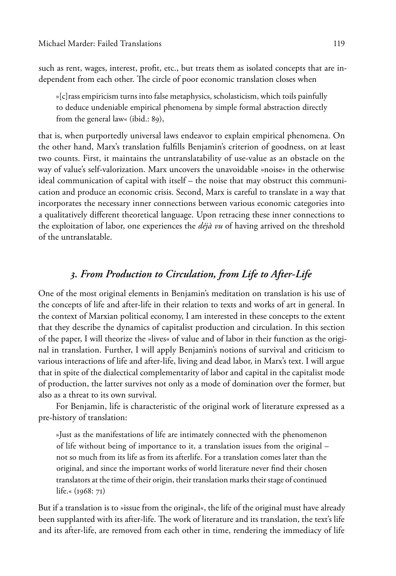such as rent, wages, interest, profit, etc., but treats them as isolated concepts that are independent from each other. The circle of poor economic translation closes when

»[c]rass empiricism turns into false metaphysics, scholasticism, which toils painfully to deduce undeniable empirical phenomena by simple formal abstraction directly from the general law« (ibid.: 89),

that is, when purportedly universal laws endeavor to explain empirical phenomena. On the other hand, Marx's translation fulfills Benjamin's criterion of goodness, on at least two counts. First, it maintains the untranslatability of use-value as an obstacle on the way of value's self-valorization. Marx uncovers the unavoidable »noise« in the otherwise ideal communication of capital with itself – the noise that may obstruct this communication and produce an economic crisis. Second, Marx is careful to translate in a way that incorporates the necessary inner connections between various economic categories into a qualitatively different theoretical language. Upon retracing these inner connections to the exploitation of labor, one experiences the *déjà vu* of having arrived on the threshold of the untranslatable.

#### *. From Production to Circulation, from Life to After-Life*

One of the most original elements in Benjamin's meditation on translation is his use of the concepts of life and after-life in their relation to texts and works of art in general. In the context of Marxian political economy, I am interested in these concepts to the extent that they describe the dynamics of capitalist production and circulation. In this section of the paper, I will theorize the »lives« of value and of labor in their function as the original in translation. Further, I will apply Benjamin's notions of survival and criticism to various interactions of life and after-life, living and dead labor, in Marx's text. I will argue that in spite of the dialectical complementarity of labor and capital in the capitalist mode of production, the latter survives not only as a mode of domination over the former, but also as a threat to its own survival.

For Benjamin, life is characteristic of the original work of literature expressed as a pre-history of translation:

»Just as the manifestations of life are intimately connected with the phenomenon of life without being of importance to it, a translation issues from the original – not so much from its life as from its afterlife. For a translation comes later than the original, and since the important works of world literature never find their chosen translators at the time of their origin, their translation marks their stage of contin ued life.« (1968: 71)

But if a translation is to »issue from the original«, the life of the original must have already been supplanted with its after-life. The work of literature and its translation, the text's life and its after-life, are removed from each other in time, rendering the immediacy of life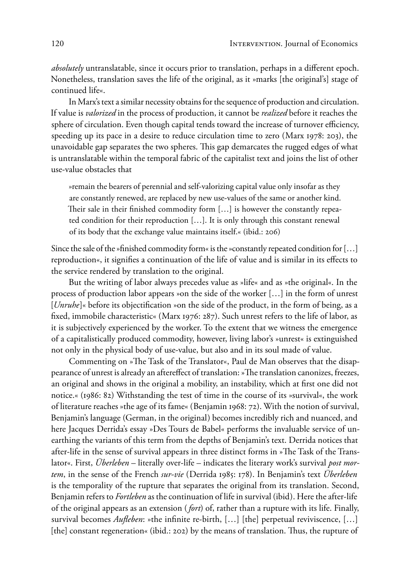*absolutely* untranslatable, since it occurs prior to translation, perhaps in a different epoch. Nonetheless, translation saves the life of the original, as it »marks [the original's] stage of continued life«.

In Marx's text a similar necessity obtains for the sequence of production and circulation. If value is *valorized* in the process of production, it cannot be *realized* before it reaches the sphere of circulation. Even though capital tends toward the increase of turnover efficiency, speeding up its pace in a desire to reduce circulation time to zero (Marx  $1978$ : 203), the unavoidable gap separates the two spheres. This gap demarcates the rugged edges of what is untranslatable within the temporal fabric of the capitalist text and joins the list of other use-value obstacles that

»remain the bearers of perennial and self-valorizing capital value only insofar as they are constantly renewed, are replaced by new use-values of the same or another kind. Their sale in their finished commodity form  $[...]$  is however the constantly repeated condition for their reproduction […]. It is only through this constant renewal of its body that the exchange value maintains itself.« (ibid.: 206)

Since the sale of the »finished commodity form« is the »constantly repeated condition for [...] reproduction«, it signifies a continuation of the life of value and is similar in its effects to the service rendered by translation to the original.

But the writing of labor always precedes value as »life« and as »the original«. In the process of production labor appears »on the side of the worker […] in the form of unrest [*Unruhe*]« before its objectification »on the side of the product, in the form of being, as a fixed, immobile characteristic« (Marx 1976: 287). Such unrest refers to the life of labor, as it is subjectively experienced by the worker. To the extent that we witness the emergence of a capitalistically produced commodity, however, living labor's »unrest« is extinguished not only in the physical body of use-value, but also and in its soul made of value.

Commenting on »The Task of the Translator«, Paul de Man observes that the disappearance of unrest is already an aftereffect of translation: »The translation canonizes, freezes, an original and shows in the original a mobility, an instability, which at first one did not notice.« (1986: 82) Withstanding the test of time in the course of its »survival«, the work of literature reaches »the age of its fame« (Benjamin 1968: 72). With the notion of survival, Benjamin's language (German, in the original) becomes incredibly rich and nuanced, and here Jacques Derrida's essay »Des Tours de Babel« performs the invaluable service of unearthing the variants of this term from the depths of Benjamin's text. Derrida notices that after-life in the sense of survival appears in three distinct forms in »The Task of the Translator«. First, *Überleben* – literally over-life – indicates the literary work's survival *post mortem*, in the sense of the French *sur-vie* (Derrida 1985: 178). In Benjamin's text *Überleben* is the temporality of the rupture that separates the original from its translation. Second, Benjamin refers to *Fortleben* as the continuation of life in survival (ibid). Here the after-life of the original appears as an extension ( *fort*) of, rather than a rupture with its life. Finally, survival becomes *Aufleben*: »the infinite re-birth, [...] [the] perpetual reviviscence, [...] [the] constant regeneration« (ibid.: 202) by the means of translation. Thus, the rupture of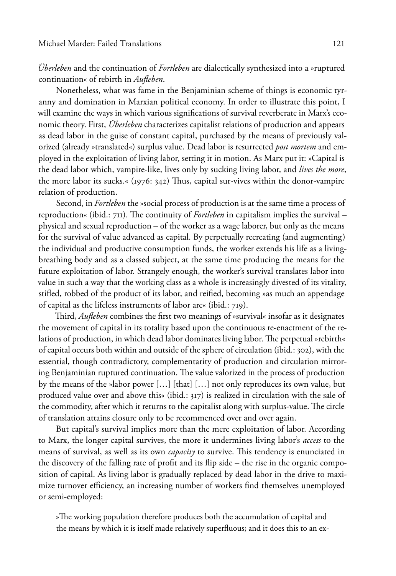*Überleben* and the continuation of *Fortleben* are dialectically synthesized into a »ruptured continuation« of rebirth in *Aufleben*.

Nonetheless, what was fame in the Benjaminian scheme of things is economic tyranny and domination in Marxian political economy. In order to illustrate this point, I will examine the ways in which various significations of survival reverberate in Marx's economic theory. First, *Überleben* characterizes capitalist relations of production and appears as dead labor in the guise of constant capital, purchased by the means of previously valorized (already »translated«) surplus value. Dead labor is resurrected *post mortem* and employed in the exploitation of living labor, setting it in motion. As Marx put it: »Capital is the dead labor which, vampire-like, lives only by sucking living labor, and *lives the more*, the more labor its sucks.«  $(1976: 342)$  Thus, capital sur-vives within the donor-vampire relation of production.

Second, in *Fortleben* the »social process of production is at the same time a process of reproduction« (ibid.: 711). The continuity of *Fortleben* in capitalism implies the survival – physical and sexual reproduction – of the worker as a wage laborer, but only as the means for the survival of value advanced as capital. By perpetually recreating (and augmenting) the individual and productive consumption funds, the worker extends his life as a livingbreathing body and as a classed subject, at the same time producing the means for the future exploitation of labor. Strangely enough, the worker's survival translates labor into value in such a way that the working class as a whole is increasingly divested of its vitality, stifled, robbed of the product of its labor, and reified, becoming »as much an appendage of capital as the lifeless instruments of labor are  $(ibid.: 719).$ 

Third, *Aufleben* combines the first two meanings of »survival« insofar as it designates the movement of capital in its totality based upon the continuous re-enactment of the relations of production, in which dead labor dominates living labor. The perpetual »rebirth« of capital occurs both within and outside of the sphere of circulation (ibid.: 302), with the essential, though contradictory, complementarity of production and circulation mirroring Benjaminian ruptured continuation. The value valorized in the process of production by the means of the »labor power […] [that] […] not only reproduces its own value, but produced value over and above this« (ibid.:  $317$ ) is realized in circulation with the sale of the commodity, after which it returns to the capitalist along with surplus-value. The circle of translation attains closure only to be recommenced over and over again.

But capital's survival implies more than the mere exploitation of labor. According to Marx, the longer capital survives, the more it undermines living labor's *access* to the means of survival, as well as its own *capacity* to survive. This tendency is enunciated in the discovery of the falling rate of profit and its flip side – the rise in the organic composition of capital. As living labor is gradually replaced by dead labor in the drive to maximize turnover efficiency, an increasing number of workers find themselves unemployed or semi-employed:

»The working population therefore produces both the accumulation of capital and the means by which it is itself made relatively superfluous; and it does this to an ex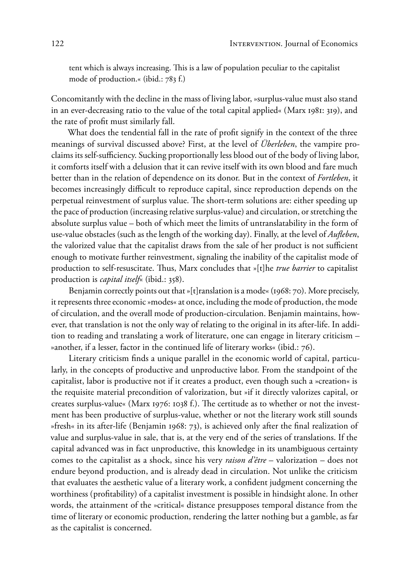tent which is always increasing. This is a law of population peculiar to the capitalist mode of production.« (ibid.: 783 f.)

Concomitantly with the decline in the mass of living labor, »surplus-value must also stand in an ever-decreasing ratio to the value of the total capital applied« (Marx  $1981: 319$ ), and the rate of profit must similarly fall.

What does the tendential fall in the rate of profit signify in the context of the three meanings of survival discussed above? First, at the level of *Überleben*, the vampire proclaims its self-sufficiency. Sucking proportionally less blood out of the body of living labor, it comforts itself with a delusion that it can revive itself with its own blood and fare much better than in the relation of dependence on its donor. But in the context of *Fortleben*, it becomes increasingly difficult to reproduce capital, since reproduction depends on the perpetual reinvestment of surplus value. The short-term solutions are: either speeding up the pace of production (increasing relative surplus-value) and circulation, or stretching the absolute surplus value – both of which meet the limits of untranslatability in the form of use-value obstacles (such as the length of the working day). Finally, at the level of *Aufl eben*, the valorized value that the capitalist draws from the sale of her product is not sufficient enough to motivate further reinvestment, signaling the inability of the capitalist mode of production to self-resuscitate. Thus, Marx concludes that »[t]he *true barrier* to capitalist production is *capital itself«* (ibid.: 358).

Benjamin correctly points out that »[t] ranslation is a mode« (1968: 70). More precisely, it represents three economic »modes« at once, including the mode of production, the mode of circulation, and the overall mode of production-circulation. Benjamin maintains, however, that translation is not the only way of relating to the original in its after-life. In addition to reading and translating a work of literature, one can engage in literary criticism – »another, if a lesser, factor in the continued life of literary works« (ibid.:  $76$ ).

Literary criticism finds a unique parallel in the economic world of capital, particularly, in the concepts of productive and unproductive labor. From the standpoint of the capitalist, labor is productive not if it creates a product, even though such a »creation« is the requisite material precondition of valorization, but »if it directly valorizes capital, or creates surplus-value« (Marx 1976: 1038 f.). The certitude as to whether or not the investment has been productive of surplus-value, whether or not the literary work still sounds »fresh« in its after-life (Benjamin 1968: 73), is achieved only after the final realization of value and surplus-value in sale, that is, at the very end of the series of translations. If the capital advanced was in fact unproductive, this knowledge in its unambiguous certainty comes to the capitalist as a shock, since his very *raison d'être* – valorization – does not endure beyond production, and is already dead in circulation. Not unlike the criticism that evaluates the aesthetic value of a literary work, a confident judgment concerning the worthiness (profitability) of a capitalist investment is possible in hindsight alone. In other words, the attainment of the »critical« distance presupposes temporal distance from the time of literary or economic production, rendering the latter nothing but a gamble, as far as the capitalist is concerned.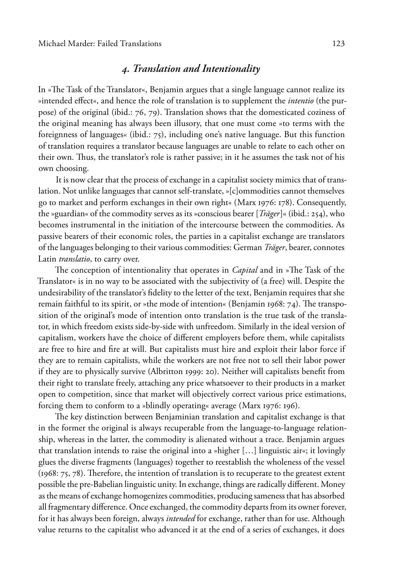#### *. Translation and Intentionality*

In »The Task of the Translator«, Benjamin argues that a single language cannot realize its »intended effect«, and hence the role of translation is to supplement the *intentio* (the purpose) of the original (ibid.:  $76$ ,  $79$ ). Translation shows that the domesticated coziness of the original meaning has always been illusory, that one must come »to terms with the foreignness of languages« (ibid.:  $75$ ), including one's native language. But this function of translation requires a translator because languages are unable to relate to each other on their own. Thus, the translator's role is rather passive; in it he assumes the task not of his own choosing.

It is now clear that the process of exchange in a capitalist society mimics that of translation. Not unlike languages that cannot self-translate, »[c]ommodities cannot themselves go to market and perform exchanges in their own right« (Marx 1976: 178). Consequently, the »guardian« of the commodity serves as its »conscious bearer [*Träger*]« (ibid.: 254), who becomes instrumental in the initiation of the intercourse between the commodities. As passive bearers of their economic roles, the parties in a capitalist exchange are translators of the languages belonging to their various commodities: German *Träger*, bearer, connotes Latin *translatio*, to carry over.

The conception of intentionality that operates in *Capital* and in »The Task of the Trans lator« is in no way to be associated with the subjectivity of (a free) will. Despite the undesirability of the translator's fidelity to the letter of the text, Benjamin requires that she remain faithful to its spirit, or »the mode of intention« (Benjamin 1968: 74). The transposition of the original's mode of intention onto translation is the true task of the translator, in which freedom exists side-by-side with unfreedom. Similarly in the ideal version of capitalism, workers have the choice of different employers before them, while capitalists are free to hire and fire at will. But capitalists must hire and exploit their labor force if they are to remain capitalists, while the workers are not free not to sell their labor power if they are to physically survive (Albritton 1999: 20). Neither will capitalists benefit from their right to translate freely, attaching any price whatsoever to their products in a market open to competition, since that market will objectively correct various price estimations, forcing them to conform to a »blindly operating« average (Marx 1976: 196).

The key distinction between Benjaminian translation and capitalist exchange is that in the former the original is always recuperable from the language-to-language relationship, whereas in the latter, the commodity is alienated without a trace. Benjamin argues that translation intends to raise the original into a »higher […] linguistic air«; it lovingly glues the diverse fragments (languages) together to reestablish the wholeness of the vessel  $(1968: 75, 78)$ . Therefore, the intention of translation is to recuperate to the greatest extent possible the pre-Babelian linguistic unity. In exchange, things are radically different. Money as the means of exchange homogenizes commodities, producing sameness that has absorbed all fragmentary difference. Once exchanged, the commodity departs from its owner forever, for it has always been foreign, always *intended* for exchange, rather than for use. Although value returns to the capitalist who advanced it at the end of a series of exchanges, it does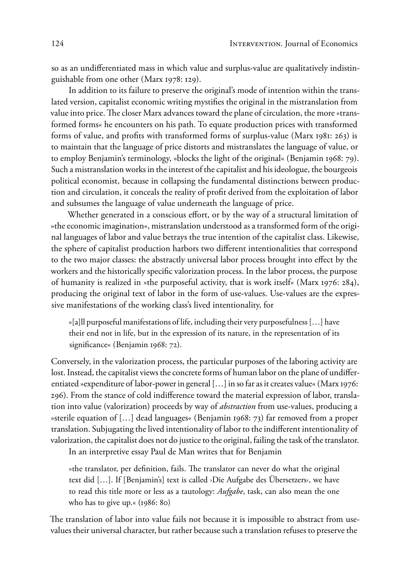so as an undifferentiated mass in which value and surplus-value are qualitatively indistinguishable from one other (Marx 1978: 129).

In addition to its failure to preserve the original's mode of intention within the translated version, capitalist economic writing mystifies the original in the mistranslation from value into price. The closer Marx advances toward the plane of circulation, the more »transformed forms« he encounters on his path. To equate production prices with transformed forms of value, and profits with transformed forms of surplus-value (Marx 1981: 263) is to maintain that the language of price distorts and mistranslates the language of value, or to employ Benjamin's terminology, »blocks the light of the original« (Benjamin 1968: 79). Such a mistranslation works in the interest of the capitalist and his ideologue, the bourgeois political economist, because in collapsing the fundamental distinctions between production and circulation, it conceals the reality of profit derived from the exploitation of labor and subsumes the language of value underneath the language of price.

Whether generated in a conscious effort, or by the way of a structural limitation of »the economic imagination«, mistranslation understood as a transformed form of the original languages of labor and value betrays the true intention of the capitalist class. Likewise, the sphere of capitalist production harbors two different intentionalities that correspond to the two major classes: the abstractly universal labor process brought into effect by the workers and the historically specific valorization process. In the labor process, the purpose of humanity is realized in »the purposeful activity, that is work itself« (Marx 1976: 284), producing the original text of labor in the form of use-values. Use-values are the expressive manifestations of the working class's lived intentionality, for

»[a]ll purposeful manifestations of life, including their very purposefulness […] have their end not in life, but in the expression of its nature, in the representation of its significance« (Benjamin 1968: 72).

Conversely, in the valorization process, the particular purposes of the laboring activity are lost. Instead, the capitalist views the concrete forms of human labor on the plane of undifferentiated »expenditure of labor-power in general [...] in so far as it creates value« (Marx 1976: 296). From the stance of cold indifference toward the material expression of labor, translation into value (valorization) proceeds by way of *abstraction* from use-values, producing a »sterile equation of [...] dead languages« (Benjamin 1968: 73) far removed from a proper translation. Subjugating the lived intentionality of labor to the indifferent intentionality of valorization, the capitalist does not do justice to the original, failing the task of the translator.

In an interpretive essay Paul de Man writes that for Benjamin

»the translator, per definition, fails. The translator can never do what the original text did […]. If [Benjamin's] text is called ›Die Aufgabe des Übersetzers‹, we have to read this title more or less as a tautology: *Aufgabe*, task, can also mean the one who has to give up.«  $(1986: 80)$ 

The translation of labor into value fails not because it is impossible to abstract from usevalues their universal character, but rather because such a translation refuses to preserve the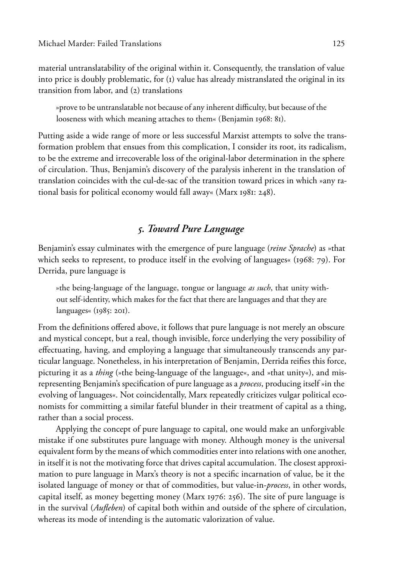material untranslatability of the original within it. Consequently, the translation of value into price is doubly problematic, for  $(i)$  value has already mistranslated the original in its transition from labor, and  $(2)$  translations

»prove to be untranslatable not because of any inherent difficulty, but because of the looseness with which meaning attaches to them« (Benjamin 1968: 81).

Putting aside a wide range of more or less successful Marxist attempts to solve the transformation problem that ensues from this complication, I consider its root, its radicalism, to be the extreme and irrecoverable loss of the original-labor determination in the sphere of circulation. Thus, Benjamin's discovery of the paralysis inherent in the translation of translation coincides with the cul-de-sac of the transition toward prices in which »any rational basis for political economy would fall away« (Marx 1981: 248).

#### *. Toward Pure Language*

Benjamin's essay culminates with the emergence of pure language (*reine Sprache*) as »that which seeks to represent, to produce itself in the evolving of languages«  $(1968: 79)$ . For Derrida, pure language is

»the being-language of the language, tongue or language *as such*, that unity with out self-identity, which makes for the fact that there are languages and that they are languages« (1985: 201).

From the definitions offered above, it follows that pure language is not merely an obscure and mystical concept, but a real, though invisible, force underlying the very possibility of effectuating, having, and employing a language that simultaneously transcends any particular language. Nonetheless, in his interpretation of Benjamin, Derrida reifies this force, picturing it as a *thing* (»the being-language of the language«, and »that unity«), and misrepresenting Benjamin's specification of pure language as a *process*, producing itself »in the evolving of languages«. Not coincidentally, Marx repeatedly criticizes vulgar political economists for committing a similar fateful blunder in their treatment of capital as a thing, rather than a social process.

Applying the concept of pure language to capital, one would make an unforgivable mistake if one substitutes pure language with money. Although money is the universal equivalent form by the means of which commodities enter into relations with one another, in itself it is not the motivating force that drives capital accumulation. The closest approximation to pure language in Marx's theory is not a specific incarnation of value, be it the isolated language of money or that of commodities, but value-in-*process*, in other words, capital itself, as money begetting money (Marx  $1976: 256$ ). The site of pure language is in the survival (*Aufleben*) of capital both within and outside of the sphere of circulation, whereas its mode of intending is the automatic valorization of value.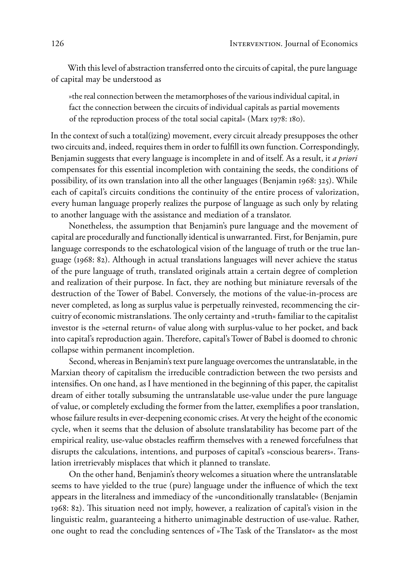With this level of abstraction transferred onto the circuits of capital, the pure language of capital may be understood as

»the real connection between the metamorphoses of the various individual capital, in fact the connection between the circuits of individual capitals as partial movements of the reproduction process of the total social capital« (Marx 1978: 180).

In the context of such a total(izing) movement, every circuit already presupposes the other two circuits and, indeed, requires them in order to fulfill its own function. Correspondingly, Benjamin suggests that every language is incomplete in and of itself. As a result, it *a priori*  compensates for this essential incompletion with containing the seeds, the conditions of possibility, of its own translation into all the other languages (Benjamin 1968: 325). While each of capital's circuits conditions the continuity of the entire process of valorization, every human language properly realizes the purpose of language as such only by relating to another language with the assistance and mediation of a translator.

Nonetheless, the assumption that Benjamin's pure language and the movement of capital are procedurally and functionally identical is unwarranted. First, for Benjamin, pure language corresponds to the eschatological vision of the language of truth or the true language (1968: 82). Although in actual translations languages will never achieve the status of the pure language of truth, translated originals attain a certain degree of completion and realization of their purpose. In fact, they are nothing but miniature reversals of the destruction of the Tower of Babel. Conversely, the motions of the value-in-process are never completed, as long as surplus value is perpetually reinvested, recommencing the circuitry of economic mistranslations. The only certainty and »truth« familiar to the capitalist investor is the »eternal return« of value along with surplus-value to her pocket, and back into capital's reproduction again. Therefore, capital's Tower of Babel is doomed to chronic collapse within permanent incompletion.

Second, whereas in Benjamin's text pure language overcomes the untranslatable, in the Marxian theory of capitalism the irreducible contradiction between the two persists and intensifies. On one hand, as I have mentioned in the beginning of this paper, the capitalist dream of either totally subsuming the untranslatable use-value under the pure language of value, or completely excluding the former from the latter, exemplifies a poor translation, whose failure results in ever-deepening economic crises. At very the height of the economic cycle, when it seems that the delusion of absolute translatability has become part of the empirical reality, use-value obstacles reaffirm themselves with a renewed forcefulness that disrupts the calculations, intentions, and purposes of capital's »conscious bearers«. Translation irretrievably misplaces that which it planned to translate.

On the other hand, Benjamin's theory welcomes a situation where the untranslatable seems to have yielded to the true (pure) language under the influence of which the text appears in the literalness and immediacy of the »unconditionally translatable« (Benjamin 1968: 82). This situation need not imply, however, a realization of capital's vision in the linguistic realm, guaranteeing a hitherto unimaginable destruction of use-value. Rather, one ought to read the concluding sentences of »The Task of the Translator« as the most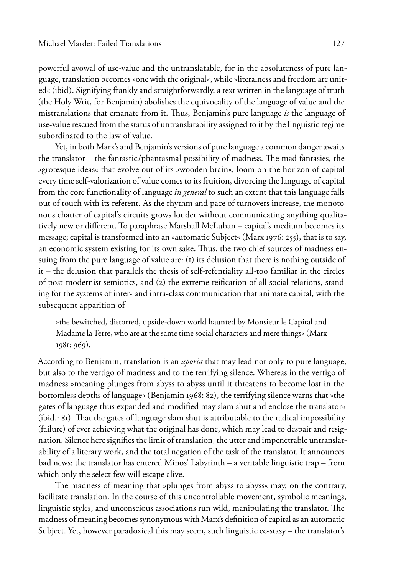powerful avowal of use-value and the untranslatable, for in the absoluteness of pure language, translation becomes »one with the original«, while »literalness and freedom are united« (ibid). Signifying frankly and straightforwardly, a text written in the language of truth (the Holy Writ, for Benjamin) abolishes the equivocality of the language of value and the mistranslations that emanate from it. Thus, Benjamin's pure language *is* the language of use-value rescued from the status of untranslatability assigned to it by the linguistic regime subordinated to the law of value.

Yet, in both Marx's and Benjamin's versions of pure language a common danger awaits the translator – the fantastic/phantasmal possibility of madness. The mad fantasies, the »grotesque ideas« that evolve out of its »wooden brain«, loom on the horizon of capital every time self-valorization of value comes to its fruition, divorcing the language of capital from the core functionality of language *in general* to such an extent that this language falls out of touch with its referent. As the rhythm and pace of turnovers increase, the monotonous chatter of capital's circuits grows louder without communicating anything qualitatively new or different. To paraphrase Marshall McLuhan – capital's medium becomes its message; capital is transformed into an »automatic Subject« (Marx 1976: 255), that is to say, an economic system existing for its own sake. Thus, the two chief sources of madness ensuing from the pure language of value are: (1) its delusion that there is nothing outside of it – the delusion that parallels the thesis of self-refentiality all-too familiar in the circles of post-modernist semiotics, and (2) the extreme reification of all social relations, standing for the systems of inter- and intra-class communication that animate capital, with the subsequent apparition of

»the bewitched, distorted, upside-down world haunted by Monsieur le Capital and Madame la Terre, who are at the same time social characters and mere things« (Marx 1981: 969).

According to Benjamin, translation is an *aporia* that may lead not only to pure language, but also to the vertigo of madness and to the terrifying silence. Whereas in the vertigo of madness »meaning plunges from abyss to abyss until it threatens to become lost in the bottomless depths of language« (Benjamin 1968: 82), the terrifying silence warns that »the gates of language thus expanded and modified may slam shut and enclose the translator« (ibid.: 81). That the gates of language slam shut is attributable to the radical impossibility (failure) of ever achieving what the original has done, which may lead to despair and resignation. Silence here signifies the limit of translation, the utter and impenetrable untranslatability of a literary work, and the total negation of the task of the translator. It announces bad news: the translator has entered Minos' Labyrinth – a veritable linguistic trap – from which only the select few will escape alive.

The madness of meaning that »plunges from abyss to abyss« may, on the contrary, facilitate translation. In the course of this uncontrollable movement, symbolic meanings, linguistic styles, and unconscious associations run wild, manipulating the translator. The madness of meaning becomes synonymous with Marx's definition of capital as an automatic Subject. Yet, however paradoxical this may seem, such linguistic ec-stasy – the translator's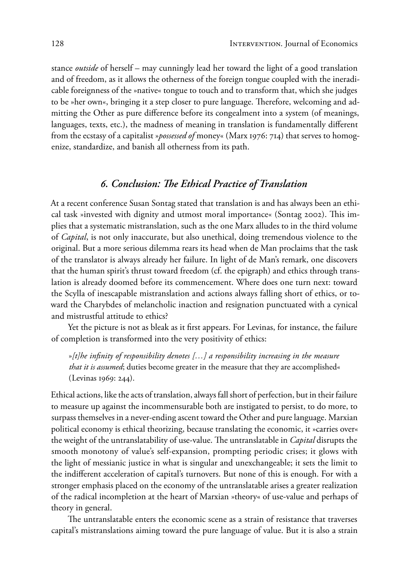stance *outside* of herself – may cunningly lead her toward the light of a good translation and of freedom, as it allows the otherness of the foreign tongue coupled with the ineradicable foreignness of the »native« tongue to touch and to transform that, which she judges to be »her own«, bringing it a step closer to pure language. Therefore, welcoming and admitting the Other as pure difference before its congealment into a system (of meanings, languages, texts, etc.), the madness of meaning in translation is fundamentally different from the ecstasy of a capitalist »*possessed of* money« (Marx 1976: 714) that serves to homogenize, standardize, and banish all otherness from its path.

#### *. Conclusion: Th e Ethical Practice of Translation*

At a recent conference Susan Sontag stated that translation is and has always been an ethical task »invested with dignity and utmost moral importance« (Sontag 2002). This implies that a systematic mistranslation, such as the one Marx alludes to in the third volume of *Capital*, is not only inaccurate, but also unethical, doing tremendous violence to the original. But a more serious dilemma rears its head when de Man proclaims that the task of the translator is always already her failure. In light of de Man's remark, one discovers that the human spirit's thrust toward freedom (cf. the epigraph) and ethics through translation is already doomed before its commencement. Where does one turn next: toward the Scylla of inescapable mistranslation and actions always falling short of ethics, or toward the Charybdes of melancholic inaction and resignation punctuated with a cynical and mistrustful attitude to ethics?

Yet the picture is not as bleak as it first appears. For Levinas, for instance, the failure of completion is transformed into the very positivity of ethics:

»*[t]he infinity of responsibility denotes [...] a responsibility increasing in the measure that it is assumed*; duties become greater in the measure that they are accomplished« (Levinas 1969: 244).

Ethical actions, like the acts of translation, always fall short of perfection, but in their fail ure to measure up against the incommensurable both are instigated to persist, to do more, to surpass themselves in a never-ending ascent toward the Other and pure language. Marxian political economy is ethical theorizing, because translating the economic, it »carries over« the weight of the untranslatability of use-value. The untranslatable in *Capital* disrupts the smooth monotony of value's self-expansion, prompting periodic crises; it glows with the light of messianic justice in what is singular and unexchangeable; it sets the limit to the indifferent acceleration of capital's turnovers. But none of this is enough. For with a stronger emphasis placed on the economy of the untranslatable arises a greater realization of the radical incompletion at the heart of Marxian »theory« of use-value and perhaps of theory in general.

The untranslatable enters the economic scene as a strain of resistance that traverses capital's mistranslations aiming toward the pure language of value. But it is also a strain